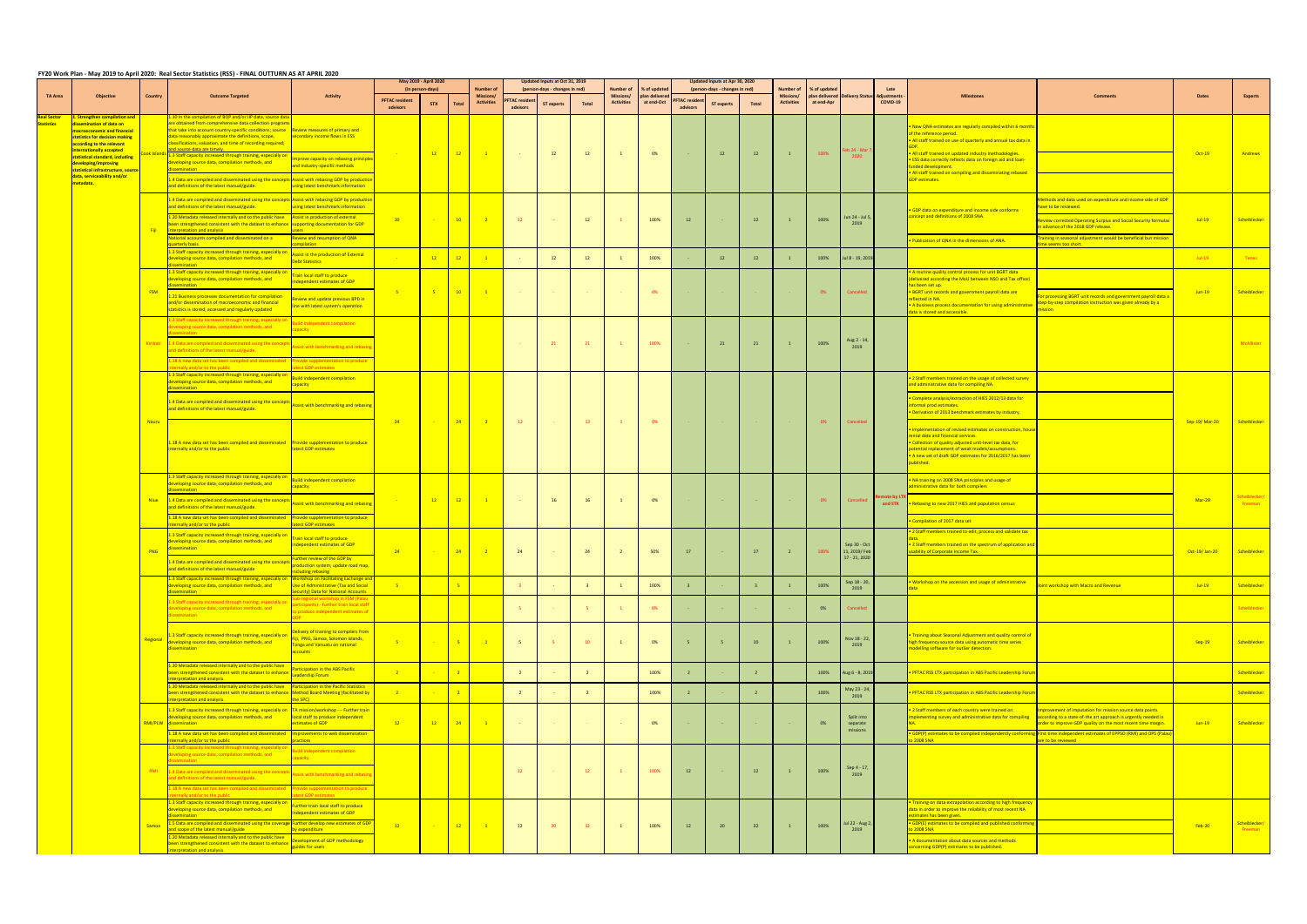## FY20 Work Plan - May 2019 to April 2020: Real Sector Statistics (RSS) - FINAL OUTTURN AS AT APRIL 2020

|                                |                                                                                                                                                                                                                                                                                |             |                                                                                                                                                                                                                                                                                                                                                                                                                                                                      |                                                                                                                                                   | May 2019 - April 2020<br>(in person-days) |                 |                |                                                   | Updated Inputs at Oct 31, 2019  |                                                     |              |                                                    |                                             | Updated Inputs at Apr 30, 2020<br>(person-days - changes in red) |                   |                |                                                    |                           |                                            |                  |                                                                                                                                                                                                                                                                                                                                                                      |                                                                                                                                                                                                                                                                             |                            |                               |
|--------------------------------|--------------------------------------------------------------------------------------------------------------------------------------------------------------------------------------------------------------------------------------------------------------------------------|-------------|----------------------------------------------------------------------------------------------------------------------------------------------------------------------------------------------------------------------------------------------------------------------------------------------------------------------------------------------------------------------------------------------------------------------------------------------------------------------|---------------------------------------------------------------------------------------------------------------------------------------------------|-------------------------------------------|-----------------|----------------|---------------------------------------------------|---------------------------------|-----------------------------------------------------|--------------|----------------------------------------------------|---------------------------------------------|------------------------------------------------------------------|-------------------|----------------|----------------------------------------------------|---------------------------|--------------------------------------------|------------------|----------------------------------------------------------------------------------------------------------------------------------------------------------------------------------------------------------------------------------------------------------------------------------------------------------------------------------------------------------------------|-----------------------------------------------------------------------------------------------------------------------------------------------------------------------------------------------------------------------------------------------------------------------------|----------------------------|-------------------------------|
| <b>TA Area</b>                 | <b>Objective</b>                                                                                                                                                                                                                                                               | Country     | <b>Outcome Targeted</b>                                                                                                                                                                                                                                                                                                                                                                                                                                              | <b>Activity</b>                                                                                                                                   | <b>PFTAC resident</b><br>advisors         | <b>STX</b>      | <b>Total</b>   | <b>Number</b> o<br>Missions/<br><b>Activities</b> | <b>FTAC resider</b><br>advisors | (person-days - changes in red)<br><b>ST experts</b> | <b>Total</b> | <b>Number of</b><br>Missions/<br><b>Activities</b> | % of update<br>plan delivered<br>at end-Oct | <b>PFTAC</b> resider<br>advisors                                 | <b>ST</b> experts | <b>Total</b>   | <b>Number of</b><br>Missions/<br><b>Activities</b> | % of update<br>at end-Apr | plan delivered Delivery Status Adjustments | Late<br>COVID-19 | <b>Milestone</b>                                                                                                                                                                                                                                                                                                                                                     | <b>Comment:</b>                                                                                                                                                                                                                                                             | <b>Dates</b>               | <b>Experts</b>                |
| eal Sector<br><b>tatistics</b> | . Strengthen compilation and<br>issemination of data on<br>acroeconomic and financial<br>tatistics for decision making<br>according to the relevant<br>nternationally accepted<br>statistical standard, including<br>developing/improving<br>statistical infrastructure, soure | iok Islan   | .10 In the compilation of BOP and/or IIP data, source o<br>are obtained from comprehensive data collection prograr<br>that take into account country-specific conditions; source<br>data reasonably approximate the definitions, scope,<br>classifications, valuation, and time of recording required;<br>d source data are timely.<br>1.3 Staff capacity increased through training, especially o<br>leveloping source data, compilation methods, and<br>semination | Review measures of primary and<br>econdary income flows in ESS<br>nprove capacity on rebasing principle<br>and industry-specific methods          | <b>Contractor</b>                         | $-12$           | $-12$          | $\blacksquare$                                    | <b>Contract</b>                 | <b>12</b>                                           | 12           | $\overline{1}$                                     | 0%                                          |                                                                  | 12                | 12             | $\mathbf{1}$                                       | 100%                      | eb 24 - Mar 7<br>2020                      |                  | . New QNA estimates are regularly compiled within 6 month<br>of the reference period.<br>. All staff trained on use of quarterly and annual tax data in<br>. All staff trained on updated industry methodologies.<br>. ESS data correctly reflects data on foreign aid and loan-<br>unded development.<br>• All staff trained on compiling and disseminating rebased |                                                                                                                                                                                                                                                                             | $Oct-19$                   | Andrews                       |
|                                | data, serviceability and/or<br><mark>netadata.</mark>                                                                                                                                                                                                                          |             | 1.4 Data are compiled and disseminated using the concepts Assist with rebasing GDP by production<br>and definitions of the latest manual/guide.                                                                                                                                                                                                                                                                                                                      | using latest benchmark information                                                                                                                |                                           |                 |                |                                                   |                                 |                                                     |              |                                                    |                                             |                                                                  |                   |                |                                                    |                           |                                            |                  | <b>GDP</b> estimates.                                                                                                                                                                                                                                                                                                                                                |                                                                                                                                                                                                                                                                             |                            |                               |
|                                |                                                                                                                                                                                                                                                                                |             | 1.4 Data are compiled and disseminated using the concep<br>and definitions of the latest manual/guide.<br>1.20 Metadata released internally and to the public have                                                                                                                                                                                                                                                                                                   | <b>Assist with rebasing GDP by producti</b><br>sing latest benchmark information<br>Assist in production of external                              | 10                                        | <b>Contract</b> | 10             | $\sim$ 2                                          | 12                              | $\sim$ 100 $\pm$                                    | 12           |                                                    | 100%                                        | 12                                                               |                   | 12             | $\mathbf{1}$                                       | 100%                      | Jun 24 - Jul 5,                            |                  | GDP data on expenditure and income side conforms<br>oncept and definitions of 2008 SNA.                                                                                                                                                                                                                                                                              | ethods and data used on expenditure and income side of GDP<br>ve to be reviewed.<br>eview corrected Operating Surplus and Social Security formulas                                                                                                                          | $Jul-19$                   | Scheiblecker                  |
|                                |                                                                                                                                                                                                                                                                                | -Fili       | been strengthened consistent with the dataset to enhance supporting documentation for GDP<br>nterpretation and analysis                                                                                                                                                                                                                                                                                                                                              |                                                                                                                                                   |                                           |                 |                |                                                   |                                 |                                                     |              |                                                    |                                             |                                                                  |                   |                |                                                    |                           | 2019                                       |                  |                                                                                                                                                                                                                                                                                                                                                                      | advance of the 2018 GDP release.                                                                                                                                                                                                                                            |                            |                               |
|                                |                                                                                                                                                                                                                                                                                |             | National accounts compiled and disseminated on a<br>uarterly basis<br>1.3 Staff capacity increased through training, especially of                                                                                                                                                                                                                                                                                                                                   | <b>Review and resumption of QNA</b><br>mnilation                                                                                                  |                                           |                 |                |                                                   |                                 |                                                     |              |                                                    |                                             |                                                                  |                   |                |                                                    |                           |                                            |                  | Publication of QNA in the dimensions of ANA.                                                                                                                                                                                                                                                                                                                         | <b>Training in seasonal adjustment would be beneficial but mission</b><br>ne seems too short.                                                                                                                                                                               |                            |                               |
|                                |                                                                                                                                                                                                                                                                                |             | leveloping source data, compilation methods, and<br>emination                                                                                                                                                                                                                                                                                                                                                                                                        | Assist in the production of External<br>Debt Statistics                                                                                           |                                           | 12              | 12             | $\overline{\phantom{0}}$                          |                                 | <b>12</b>                                           | 12           |                                                    | 100%                                        |                                                                  | 12                | 12             |                                                    | 100%                      | Jul 8 - 19, 2019                           |                  |                                                                                                                                                                                                                                                                                                                                                                      |                                                                                                                                                                                                                                                                             | $Jul-19$                   | <b>Tenes</b>                  |
|                                |                                                                                                                                                                                                                                                                                | <b>FSM</b>  | 1.3 Staff capacity increased through training, especially or<br>eveloping source data, compilation methods, and<br><b>emination</b><br>1.21 Business processes documentation for compilation                                                                                                                                                                                                                                                                         | <b>Frain local staff to produce</b><br>dependent estimates of GDP                                                                                 | $-5$                                      | $-5$            | 10             | $\blacksquare$                                    |                                 |                                                     |              |                                                    | 0%                                          |                                                                  |                   |                |                                                    | 0%                        | Cancelled                                  |                  | A routine quality control process for unit BGRT data<br>livered according the MoU between NSO and Tax office)<br>as been set up.<br>BGRT unit records and government payroll data are                                                                                                                                                                                | r processing BGRT unit records and government payroll data a                                                                                                                                                                                                                | $Jun-19$                   | Scheiblecker                  |
|                                |                                                                                                                                                                                                                                                                                |             | and/or dissemination of macroeconomic and financial<br>tatistics is stored, accessed and regularly updated<br>.3 Staff capacity increased through training, especially                                                                                                                                                                                                                                                                                               | view and update previous BPD in<br>ine with latest system's operation                                                                             |                                           |                 |                |                                                   |                                 |                                                     |              |                                                    |                                             |                                                                  |                   |                |                                                    |                           |                                            |                  | flected in NA.<br>A business process documentation for using administrative<br>ta is stored and accessible.                                                                                                                                                                                                                                                          | ep-by-step compilation instruction was given already by a                                                                                                                                                                                                                   |                            |                               |
|                                |                                                                                                                                                                                                                                                                                |             | eveloping source data, compilation methods, and                                                                                                                                                                                                                                                                                                                                                                                                                      | ependent compilation<br>acity                                                                                                                     |                                           |                 |                |                                                   |                                 | 21                                                  |              |                                                    |                                             |                                                                  |                   |                |                                                    |                           |                                            |                  |                                                                                                                                                                                                                                                                                                                                                                      |                                                                                                                                                                                                                                                                             |                            |                               |
|                                |                                                                                                                                                                                                                                                                                |             | Kiribati 1.4 Data are compiled and disseminated using the conce<br>nd definitions of the latest manual/guide.<br>18 A new data set has been compiled and disseminate                                                                                                                                                                                                                                                                                                 | sist with benchmarking and reba:<br>vide supplementation to produce                                                                               |                                           |                 |                |                                                   |                                 |                                                     |              |                                                    | 100%                                        |                                                                  | 21                | 21             | $\mathbf{1}$                                       | 100%                      | Aug 2 - 14,<br>2019                        |                  |                                                                                                                                                                                                                                                                                                                                                                      |                                                                                                                                                                                                                                                                             |                            | McAllister                    |
|                                |                                                                                                                                                                                                                                                                                |             | 1.3 Staff capacity increased through training, especially or                                                                                                                                                                                                                                                                                                                                                                                                         | <b>Et GDP estimates</b><br>uild independent compilation                                                                                           |                                           |                 |                |                                                   |                                 |                                                     |              |                                                    |                                             |                                                                  |                   |                |                                                    |                           |                                            |                  | 2 Staff members trained on the usage of collected survey                                                                                                                                                                                                                                                                                                             |                                                                                                                                                                                                                                                                             |                            |                               |
|                                |                                                                                                                                                                                                                                                                                |             | developing source data, compilation methods, and                                                                                                                                                                                                                                                                                                                                                                                                                     | apacity                                                                                                                                           |                                           | <b>Contract</b> |                |                                                   |                                 |                                                     |              |                                                    |                                             |                                                                  |                   |                |                                                    |                           |                                            |                  | nd administrative data for compiling NA.                                                                                                                                                                                                                                                                                                                             |                                                                                                                                                                                                                                                                             | Sep-19/Mar-20 Scheiblecker |                               |
|                                |                                                                                                                                                                                                                                                                                | Nauru       | 1.4 Data are compiled and disseminated using the concepts<br>and definitions of the latest manual/guide.                                                                                                                                                                                                                                                                                                                                                             | Assist with benchmarking and rebasing                                                                                                             | $-24$                                     |                 | $-24$          | $\sim$ 2                                          | 12                              |                                                     | 12           | $\overline{1}$                                     | 0%                                          |                                                                  |                   |                |                                                    | $0\%$                     | Cancelled                                  |                  | Complete analysis/extraction of HIES 2012/13 data for<br>nformal prod estimates.<br>• Derivation of 2013 benchmark estimates by industry.                                                                                                                                                                                                                            |                                                                                                                                                                                                                                                                             |                            |                               |
|                                |                                                                                                                                                                                                                                                                                |             | 1.18 A new data set has been compiled and disseminated Provide supplementation to produce<br>internally and/or to the public                                                                                                                                                                                                                                                                                                                                         | latest GDP estimates                                                                                                                              |                                           |                 |                |                                                   |                                 |                                                     |              |                                                    |                                             |                                                                  |                   |                |                                                    |                           |                                            |                  | Implementation of revised estimates on construction, hou:<br>ental data and financial services.<br>Collection of quality adjusted unit-level tax data, for<br>ootential replacement of weak models/assumptions.<br>A new set of draft GDP estimates for 2016/2017 has been<br>blished.                                                                               |                                                                                                                                                                                                                                                                             |                            |                               |
|                                |                                                                                                                                                                                                                                                                                |             | 1.3 Staff capacity increased through training, especially or<br>developing source data, compilation methods, and                                                                                                                                                                                                                                                                                                                                                     | ild independent compilation<br>apacity                                                                                                            |                                           | $\frac{12}{2}$  |                |                                                   |                                 |                                                     |              |                                                    |                                             |                                                                  |                   |                |                                                    |                           |                                            |                  | NA training on 2008 SNA principles and usage of<br>ministrative data for both compilers                                                                                                                                                                                                                                                                              |                                                                                                                                                                                                                                                                             |                            |                               |
|                                |                                                                                                                                                                                                                                                                                | <b>Niue</b> | 1.4 Data are compiled and disseminated using the concep<br>and definitions of the latest manual/guide.                                                                                                                                                                                                                                                                                                                                                               | <b>Assist with benchmarking and rebasin</b>                                                                                                       | <b>Contract</b>                           |                 | $-12$          | $\frac{1}{2}$                                     | <b>Contract</b>                 | <b>16</b>                                           | 16           | $\overline{1}$                                     | 0%                                          |                                                                  |                   |                |                                                    | 0%                        | Cancelled                                  | and STX          | Rebasing to new 2017 HIES and population census                                                                                                                                                                                                                                                                                                                      |                                                                                                                                                                                                                                                                             | Mar-20                     | <b>Scheiblecke</b><br>Freeman |
|                                | PNG                                                                                                                                                                                                                                                                            |             | 1.18 A new data set has been compiled and disseminated<br>iternally and/or to the public                                                                                                                                                                                                                                                                                                                                                                             | Provide supplementation to produce<br><b>Intest GDP estimates</b>                                                                                 |                                           |                 |                |                                                   |                                 |                                                     |              |                                                    |                                             |                                                                  |                   |                |                                                    |                           |                                            |                  | Compilation of 2017 data set                                                                                                                                                                                                                                                                                                                                         |                                                                                                                                                                                                                                                                             |                            |                               |
|                                |                                                                                                                                                                                                                                                                                |             | 1.3 Staff capacity increased through training, especially of<br>eveloping source data, compilation methods, and<br>semination                                                                                                                                                                                                                                                                                                                                        | <b>Frain local staff to produce</b><br>dependent estimates of GDP                                                                                 | $-24$                                     |                 | $-24$          | $\overline{\phantom{0}}$ 2                        | 24                              |                                                     | 24           |                                                    | 50%                                         | 17                                                               |                   | 17             |                                                    | 100%                      | Sep 30 - Oct<br>11, 2019/ Feb              |                  | 2 Staff members trained to edit, process and validate tax<br>. 2 Staff members trained on the spectrum of application and<br>sability of Corporate Income Tax.                                                                                                                                                                                                       |                                                                                                                                                                                                                                                                             | Oct-19/Jan-20              | Scheiblecker                  |
|                                |                                                                                                                                                                                                                                                                                |             | 1.4 Data are compiled and disseminated using the concepts<br>efinitions of the latest manual/guide                                                                                                                                                                                                                                                                                                                                                                   | Further review of the GDP by<br>r <mark>oduction system; update road map</mark><br>ding rebasing                                                  |                                           |                 |                |                                                   |                                 |                                                     |              |                                                    |                                             |                                                                  |                   |                |                                                    |                           | 17 - 21, 2020                              |                  |                                                                                                                                                                                                                                                                                                                                                                      |                                                                                                                                                                                                                                                                             |                            |                               |
|                                |                                                                                                                                                                                                                                                                                |             | .3 Staff capacity increased through training, especially on<br>leveloping source data, compilation methods, and                                                                                                                                                                                                                                                                                                                                                      | Workshop on Facilitating Exchange a<br>Use of Administrative (Tax and Social<br>urity) Data for National Accoun                                   | $-5$                                      |                 |                |                                                   |                                 |                                                     |              |                                                    | 100%                                        | $\mathbf{a}$                                                     |                   |                |                                                    | 100%                      | Sep 18 - 20,<br>2019                       |                  | Workshop on the accession and usage of administrative                                                                                                                                                                                                                                                                                                                | int workshop with Macro and Revenue                                                                                                                                                                                                                                         | $Jul-19$                   | Scheiblecker                  |
|                                |                                                                                                                                                                                                                                                                                |             | 1.3 Staff capacity increased through training, especially c<br>leveloping source data, compilation methods, and<br><b>issemination</b>                                                                                                                                                                                                                                                                                                                               | b-regional workshop in FSM (Pala<br>articipants) - Further train local staff<br>produce independent estimates of                                  |                                           |                 |                |                                                   | - 5 -                           |                                                     |              |                                                    | 0%                                          |                                                                  |                   |                |                                                    | 0%                        | Cancelled                                  |                  |                                                                                                                                                                                                                                                                                                                                                                      |                                                                                                                                                                                                                                                                             |                            | Scheiblecker                  |
|                                |                                                                                                                                                                                                                                                                                | Regional    | 1.3 Staff capacity increased through training, especially of<br>developing source data, compilation methods, and<br>dissemination                                                                                                                                                                                                                                                                                                                                    | <b>Delivery of training to compilers from</b><br>iji, PNG, Samoa, Solomon Islands,<br><b>Tonga and Vanuatu on national</b><br><b>accounts</b>     | $-5$                                      | 1940            | $-5$           | $\frac{1}{2}$                                     | - 5                             |                                                     |              |                                                    | 0%                                          | -5                                                               |                   | 10             |                                                    | 100%                      | Nov 18 - 22,<br>2019                       |                  | <b>Training about Seasonal Adjustment and quality control of</b><br>nigh frequency source data using automatic time series<br>nodelling software for outlier detection.                                                                                                                                                                                              |                                                                                                                                                                                                                                                                             | $Sep-19$                   | Scheiblecker                  |
|                                |                                                                                                                                                                                                                                                                                |             | 1.20 Metadata released internally and to the public have<br>been strengthened consistent with the dataset to enhance<br><b>Interpretation and analysis.</b>                                                                                                                                                                                                                                                                                                          | Participation in the ABS Pacific<br>Leadership Forum                                                                                              | $\frac{1}{2}$                             |                 | $\overline{2}$ |                                                   | $\overline{2}$                  |                                                     |              |                                                    | 100%                                        | $\overline{2}$                                                   |                   | $\overline{2}$ |                                                    | 100%                      | Aug 6 - 8, 2019                            |                  | PFTAC RSS LTX participation in ABS Pacific Leadership Forur                                                                                                                                                                                                                                                                                                          |                                                                                                                                                                                                                                                                             |                            | Scheiblecker                  |
|                                |                                                                                                                                                                                                                                                                                |             | 1.20 Metadata released internally and to the public have Participation in the Pacific Statistics<br>been strengthened consistent with the dataset to enhance Method Board Meeting (facilitated by<br>terpretation and analysis.                                                                                                                                                                                                                                      | the SPC)                                                                                                                                          | $\frac{2}{2}$                             |                 |                |                                                   |                                 |                                                     |              |                                                    | 100%                                        |                                                                  |                   |                |                                                    | 100%                      | May 23 - 24,<br>2019                       |                  | PFTAC RSS LTX participation in ABS Pacific Leadership Foru                                                                                                                                                                                                                                                                                                           |                                                                                                                                                                                                                                                                             |                            | Scheiblecker                  |
|                                |                                                                                                                                                                                                                                                                                | RMI/PLW     | 1.3 Staff capacity increased through training, especially on<br>leveloping source data, compilation methods, and<br>dissemination<br>1.18 A new data set has been compiled and disseminated<br>iternally and/or to the public                                                                                                                                                                                                                                        | TA mission/workshop --- Further trair<br>local staff to produce independent<br>stimates of GDP<br>Improvements to web dissemination<br>ractices : | $-12$                                     | $-12$           | 24             | $\sim 1$                                          | <b>Contractor</b>               |                                                     |              |                                                    | 0%                                          |                                                                  |                   |                |                                                    | 0%                        | Split into<br>separate<br>missions         |                  | 2 Staff members of each country were trained on<br>mplementing survey and administrative data for compiling<br>GDP(P) estimates to be compiled independently conform<br><b>2008 SNA</b>                                                                                                                                                                              | rovement of imputation for mission source data points<br>according to a state-of-the art approach is urgently needed in<br>rder to improve GDP quality on the most recent time margin.<br>irst time independent estimates of EPPSO (RMI) and OPS (Palau<br>e to be reviewed | $Jun-19$                   | Scheiblecker                  |
|                                |                                                                                                                                                                                                                                                                                | <b>RMI</b>  | .3 Staff capacity increased through training, especially o<br>leveloping source data, compilation methods, and<br>ccamination<br>1.4 Data are compiled and disseminated using the conce<br>and definitions of the latest manual/guide.<br>18 A new data set has been compiled and disseminat<br>mally and/or to the public                                                                                                                                           | d independent compilation<br>acity<br>ssist with benchmarking and rebas<br>vide supplementation to produc<br>st GDP estimates                     |                                           |                 |                |                                                   | 12                              |                                                     | 12           |                                                    | 100%                                        | 12                                                               |                   | 12             | $\mathbf{1}$                                       | 100%                      | Sep 4 - 17,<br>2019                        |                  |                                                                                                                                                                                                                                                                                                                                                                      |                                                                                                                                                                                                                                                                             |                            |                               |
|                                |                                                                                                                                                                                                                                                                                | Samoa       | 1.3 Staff capacity increased through training, especially or<br>developing source data, compilation methods, and<br><u>issemination a</u><br>1.5 Data are compiled and disseminated using the coverage Further develop new estimates of GDF<br>and scope of the latest manual/guide                                                                                                                                                                                  | urther train local staff to produce<br>dependent estimates of GDP<br>by expenditure                                                               | $-12$                                     | $\sim 10^{-11}$ | 12             | $\overline{1}$                                    | 12                              | 20                                                  |              |                                                    | 100%                                        | 12                                                               | 20                | 32             |                                                    | 100%                      | Jul 22 - Aug 2,<br>2019                    |                  | <b>Training on data extrapolation according to high frequency</b><br>data in order to improve the reliability of most recent NA<br>timates has been given.<br><b>GDP(E) estimates to be compiled and published conformir</b><br>$2008$ SNA                                                                                                                           |                                                                                                                                                                                                                                                                             | Feb-20                     | Scheiblecker/<br>Freeman      |
|                                |                                                                                                                                                                                                                                                                                |             | .20 Metadata released internally and to the public have<br>been strengthened consistent with the dataset to enhance<br>terpretation and analysis.                                                                                                                                                                                                                                                                                                                    | Development of GDP methodology<br>guides for users                                                                                                |                                           |                 |                |                                                   |                                 |                                                     |              |                                                    |                                             |                                                                  |                   |                |                                                    |                           |                                            |                  | . A documentation about data sources and methods<br>ncerning GDP(P) estimates to be published.                                                                                                                                                                                                                                                                       |                                                                                                                                                                                                                                                                             |                            |                               |